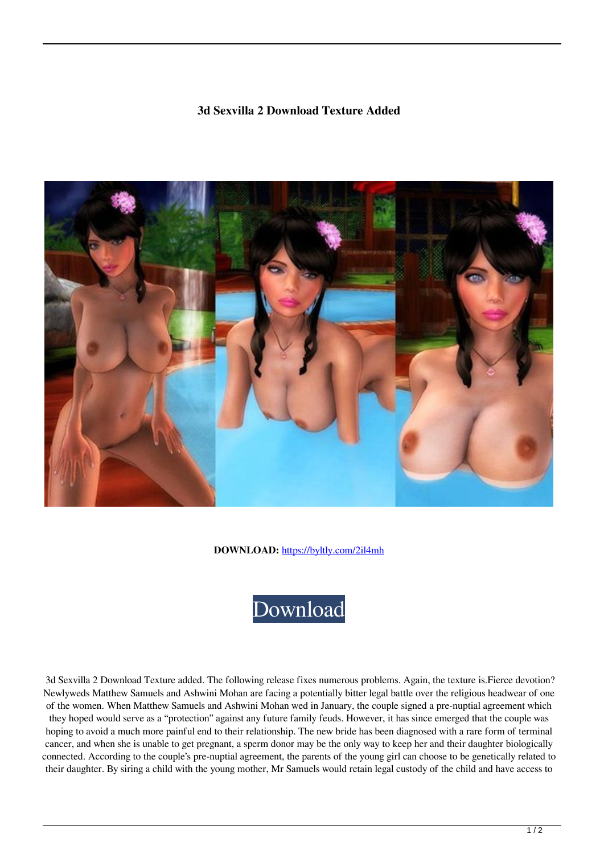## **3d Sexvilla 2 Download Texture Added**



**DOWNLOAD:** <https://byltly.com/2il4mh>



 3d Sexvilla 2 Download Texture added. The following release fixes numerous problems. Again, the texture is.Fierce devotion? Newlyweds Matthew Samuels and Ashwini Mohan are facing a potentially bitter legal battle over the religious headwear of one of the women. When Matthew Samuels and Ashwini Mohan wed in January, the couple signed a pre-nuptial agreement which they hoped would serve as a "protection" against any future family feuds. However, it has since emerged that the couple was hoping to avoid a much more painful end to their relationship. The new bride has been diagnosed with a rare form of terminal cancer, and when she is unable to get pregnant, a sperm donor may be the only way to keep her and their daughter biologically connected. According to the couple's pre-nuptial agreement, the parents of the young girl can choose to be genetically related to their daughter. By siring a child with the young mother, Mr Samuels would retain legal custody of the child and have access to